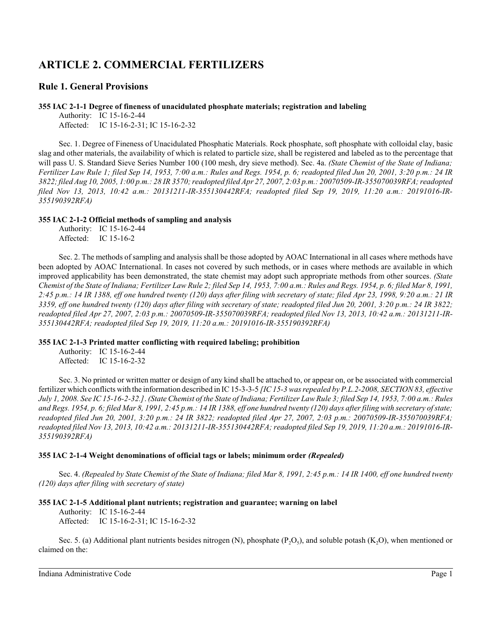# **ARTICLE 2. COMMERCIAL FERTILIZERS**

## **Rule 1. General Provisions**

#### **355 IAC 2-1-1 Degree of fineness of unacidulated phosphate materials; registration and labeling**

Authority: IC 15-16-2-44 Affected: IC 15-16-2-31; IC 15-16-2-32

Sec. 1. Degree of Fineness of Unacidulated Phosphatic Materials. Rock phosphate, soft phosphate with colloidal clay, basic slag and other materials, the availability of which is related to particle size, shall be registered and labeled as to the percentage that will pass U. S. Standard Sieve Series Number 100 (100 mesh, dry sieve method). Sec. 4a. *(State Chemist of the State of Indiana; Fertilizer Law Rule 1; filed Sep 14, 1953, 7:00 a.m.: Rules and Regs. 1954, p. 6; readopted filed Jun 20, 2001, 3:20 p.m.: 24 IR 3822; filed Aug 10, 2005, 1:00 p.m.: 28 IR 3570; readopted filed Apr 27, 2007, 2:03 p.m.: 20070509-IR-355070039RFA; readopted filed Nov 13, 2013, 10:42 a.m.: 20131211-IR-355130442RFA; readopted filed Sep 19, 2019, 11:20 a.m.: 20191016-IR-355190392RFA)*

## **355 IAC 2-1-2 Official methods of sampling and analysis**

Authority: IC 15-16-2-44 Affected: IC 15-16-2

Sec. 2. The methods ofsampling and analysis shall be those adopted by AOAC International in all cases where methods have been adopted by AOAC International. In cases not covered by such methods, or in cases where methods are available in which improved applicability has been demonstrated, the state chemist may adopt such appropriate methods from other sources. *(State Chemist of the State of Indiana; Fertilizer Law Rule 2; filed Sep 14, 1953, 7:00 a.m.: Rules and Regs. 1954, p. 6; filed Mar 8, 1991, 2:45 p.m.: 14 IR 1388, eff one hundred twenty (120) days after filing with secretary of state; filed Apr 23, 1998, 9:20 a.m.: 21 IR 3359, eff one hundred twenty (120) days after filing with secretary of state; readopted filed Jun 20, 2001, 3:20 p.m.: 24 IR 3822; readopted filed Apr 27, 2007, 2:03 p.m.: 20070509-IR-355070039RFA; readopted filed Nov 13, 2013, 10:42 a.m.: 20131211-IR-355130442RFA; readopted filed Sep 19, 2019, 11:20 a.m.: 20191016-IR-355190392RFA)*

## **355 IAC 2-1-3 Printed matter conflicting with required labeling; prohibition**

Authority: IC 15-16-2-44 Affected: IC 15-16-2-32

Sec. 3. No printed or written matter or design of any kind shall be attached to, or appear on, or be associated with commercial fertilizer which conflicts with the information described in IC 15-3-3-5 *[IC 15-3 was repealed by P.L.2-2008, SECTION 83, effective July 1, 2008. See IC 15-16-2-32.]*. *(State Chemist of the State of Indiana; Fertilizer LawRule 3; filed Sep 14, 1953, 7:00 a.m.: Rules and Regs. 1954, p. 6; filed Mar 8, 1991, 2:45 p.m.: 14 IR 1388, eff one hundred twenty (120) days after filing with secretary of state; readopted filed Jun 20, 2001, 3:20 p.m.: 24 IR 3822; readopted filed Apr 27, 2007, 2:03 p.m.: 20070509-IR-355070039RFA; readopted filed Nov 13, 2013, 10:42 a.m.: 20131211-IR-355130442RFA; readopted filed Sep 19, 2019, 11:20 a.m.: 20191016-IR-355190392RFA)*

## **355 IAC 2-1-4 Weight denominations of official tags or labels; minimum order** *(Repealed)*

Sec. 4. *(Repealed by State Chemist of the State of Indiana; filed Mar 8, 1991, 2:45 p.m.: 14 IR 1400, eff one hundred twenty (120) days after filing with secretary of state)*

## **355 IAC 2-1-5 Additional plant nutrients; registration and guarantee; warning on label**

Authority: IC 15-16-2-44

Affected: IC 15-16-2-31; IC 15-16-2-32

Sec. 5. (a) Additional plant nutrients besides nitrogen (N), phosphate  $(P_2O_5)$ , and soluble potash (K<sub>2</sub>O), when mentioned or claimed on the: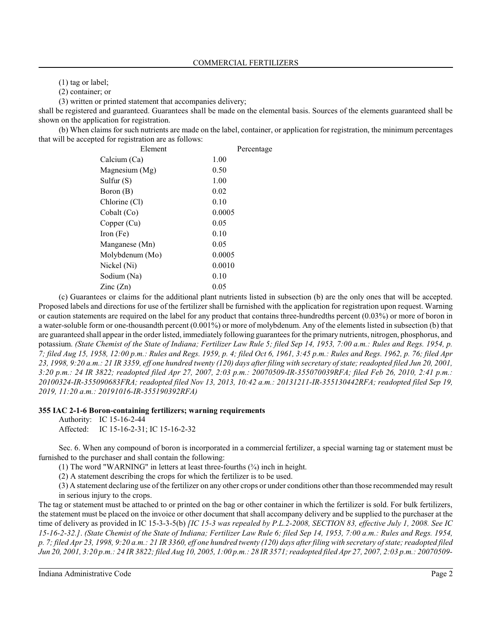(1) tag or label;

(2) container; or

(3) written or printed statement that accompanies delivery;

shall be registered and guaranteed. Guarantees shall be made on the elemental basis. Sources of the elements guaranteed shall be shown on the application for registration.

(b) When claims for such nutrients are made on the label, container, or application for registration, the minimum percentages that will be accepted for registration are as follows:

| Element                  | Percentage |
|--------------------------|------------|
| Calcium (Ca)             | 1.00       |
| Magnesium (Mg)           | 0.50       |
| Sulfur (S)               | 1.00       |
| Boron (B)                | 0.02       |
| Chlorine (Cl)            | 0.10       |
| Cobalt (Co)              | 0.0005     |
| Copper (Cu)              | 0.05       |
| Iron (Fe)                | 0.10       |
| Manganese (Mn)           | 0.05       |
| Molybdenum (Mo)          | 0.0005     |
| Nickel (Ni)              | 0.0010     |
| Sodium (Na)              | 0.10       |
| $\text{Zinc}(\text{Zn})$ | 0.05       |

(c) Guarantees or claims for the additional plant nutrients listed in subsection (b) are the only ones that will be accepted. Proposed labels and directions for use of the fertilizer shall be furnished with the application for registration upon request. Warning or caution statements are required on the label for any product that contains three-hundredths percent (0.03%) or more of boron in a water-soluble form or one-thousandth percent (0.001%) or more of molybdenum. Any of the elements listed in subsection (b) that are guaranteed shall appear in the order listed, immediately following guarantees for the primary nutrients, nitrogen, phosphorus, and potassium. *(State Chemist of the State of Indiana; Fertilizer Law Rule 5; filed Sep 14, 1953, 7:00 a.m.: Rules and Regs. 1954, p. 7; filed Aug 15, 1958, 12:00 p.m.: Rules and Regs. 1959, p. 4; filed Oct 6, 1961, 3:45 p.m.: Rules and Regs. 1962, p. 76; filed Apr 23, 1998, 9:20 a.m.: 21 IR 3359, eff one hundred twenty (120) days after filing with secretary of state; readopted filed Jun 20, 2001, 3:20 p.m.: 24 IR 3822; readopted filed Apr 27, 2007, 2:03 p.m.: 20070509-IR-355070039RFA; filed Feb 26, 2010, 2:41 p.m.: 20100324-IR-355090683FRA; readopted filed Nov 13, 2013, 10:42 a.m.: 20131211-IR-355130442RFA; readopted filed Sep 19, 2019, 11:20 a.m.: 20191016-IR-355190392RFA)*

#### **355 IAC 2-1-6 Boron-containing fertilizers; warning requirements**

Authority: IC 15-16-2-44

Affected: IC 15-16-2-31; IC 15-16-2-32

Sec. 6. When any compound of boron is incorporated in a commercial fertilizer, a special warning tag or statement must be furnished to the purchaser and shall contain the following:

(1) The word "WARNING" in letters at least three-fourths (¾) inch in height.

(2) A statement describing the crops for which the fertilizer is to be used.

(3) A statement declaring use of the fertilizer on any other crops or under conditions other than those recommended may result in serious injury to the crops.

The tag or statement must be attached to or printed on the bag or other container in which the fertilizer is sold. For bulk fertilizers, the statement must be placed on the invoice or other document that shall accompany delivery and be supplied to the purchaser at the time of delivery as provided in IC 15-3-3-5(b) *[IC 15-3 was repealed by P.L.2-2008, SECTION 83, effective July 1, 2008. See IC 15-16-2-32.]*. *(State Chemist of the State of Indiana; Fertilizer Law Rule 6; filed Sep 14, 1953, 7:00 a.m.: Rules and Regs. 1954, p. 7; filed Apr 23, 1998, 9:20 a.m.: 21 IR 3360, eff one hundred twenty (120) days after filing with secretary of state; readopted filed Jun 20, 2001, 3:20 p.m.: 24 IR 3822; filed Aug 10, 2005, 1:00 p.m.: 28 IR 3571; readopted filed Apr 27, 2007, 2:03 p.m.: 20070509-*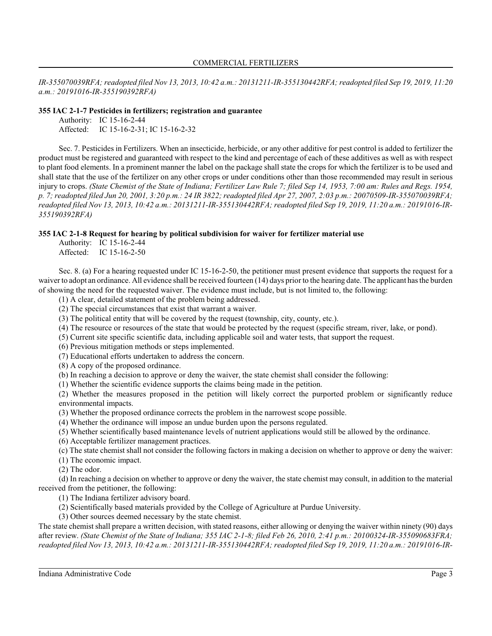*IR-355070039RFA; readopted filed Nov 13, 2013, 10:42 a.m.: 20131211-IR-355130442RFA; readopted filed Sep 19, 2019, 11:20 a.m.: 20191016-IR-355190392RFA)*

#### **355 IAC 2-1-7 Pesticides in fertilizers; registration and guarantee**

Authority: IC 15-16-2-44 Affected: IC 15-16-2-31; IC 15-16-2-32

Sec. 7. Pesticides in Fertilizers. When an insecticide, herbicide, or any other additive for pest control is added to fertilizer the product must be registered and guaranteed with respect to the kind and percentage of each of these additives as well as with respect to plant food elements. In a prominent manner the label on the package shall state the crops for which the fertilizer is to be used and shall state that the use of the fertilizer on any other crops or under conditions other than those recommended may result in serious injury to crops. *(State Chemist of the State of Indiana; Fertilizer Law Rule 7; filed Sep 14, 1953, 7:00 am: Rules and Regs. 1954, p. 7; readopted filed Jun 20, 2001, 3:20 p.m.: 24 IR 3822; readopted filed Apr 27, 2007, 2:03 p.m.: 20070509-IR-355070039RFA; readopted filed Nov 13, 2013, 10:42 a.m.: 20131211-IR-355130442RFA; readopted filed Sep 19, 2019, 11:20 a.m.: 20191016-IR-355190392RFA)*

#### **355 IAC 2-1-8 Request for hearing by political subdivision for waiver for fertilizer material use**

Authority: IC 15-16-2-44 Affected: IC 15-16-2-50

Sec. 8. (a) For a hearing requested under IC 15-16-2-50, the petitioner must present evidence that supports the request for a waiver to adopt an ordinance. All evidence shall be received fourteen (14) days prior to the hearing date. The applicant has the burden of showing the need for the requested waiver. The evidence must include, but is not limited to, the following:

(1) A clear, detailed statement of the problem being addressed.

(2) The special circumstances that exist that warrant a waiver.

(3) The political entity that will be covered by the request (township, city, county, etc.).

(4) The resource or resources of the state that would be protected by the request (specific stream, river, lake, or pond).

(5) Current site specific scientific data, including applicable soil and water tests, that support the request.

(6) Previous mitigation methods or steps implemented.

(7) Educational efforts undertaken to address the concern.

(8) A copy of the proposed ordinance.

(b) In reaching a decision to approve or deny the waiver, the state chemist shall consider the following:

(1) Whether the scientific evidence supports the claims being made in the petition.

(2) Whether the measures proposed in the petition will likely correct the purported problem or significantly reduce environmental impacts.

(3) Whether the proposed ordinance corrects the problem in the narrowest scope possible.

(4) Whether the ordinance will impose an undue burden upon the persons regulated.

(5) Whether scientifically based maintenance levels of nutrient applications would still be allowed by the ordinance.

(6) Acceptable fertilizer management practices.

(c) The state chemist shall not consider the following factors in making a decision on whether to approve or deny the waiver:

(1) The economic impact.

(2) The odor.

(d) In reaching a decision on whether to approve or deny the waiver, the state chemist may consult, in addition to the material received from the petitioner, the following:

(1) The Indiana fertilizer advisory board.

(2) Scientifically based materials provided by the College of Agriculture at Purdue University.

(3) Other sources deemed necessary by the state chemist.

The state chemist shall prepare a written decision, with stated reasons, either allowing or denying the waiver within ninety (90) days after review. *(State Chemist of the State of Indiana; 355 IAC 2-1-8; filed Feb 26, 2010, 2:41 p.m.: 20100324-IR-355090683FRA; readopted filed Nov 13, 2013, 10:42 a.m.: 20131211-IR-355130442RFA; readopted filed Sep 19, 2019, 11:20 a.m.: 20191016-IR-*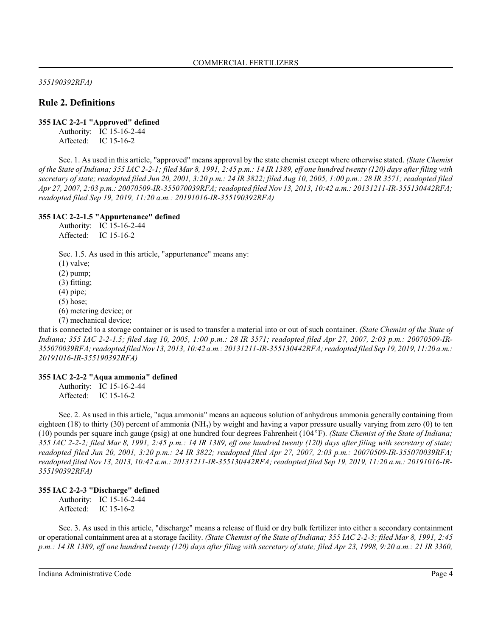*355190392RFA)*

## **Rule 2. Definitions**

#### **355 IAC 2-2-1 "Approved" defined**

Authority: IC 15-16-2-44 Affected: IC 15-16-2

Sec. 1. As used in this article, "approved" means approval by the state chemist except where otherwise stated. *(State Chemist of the State of Indiana; 355 IAC 2-2-1; filed Mar 8, 1991, 2:45 p.m.: 14 IR 1389, eff one hundred twenty (120) days after filing with secretary of state; readopted filed Jun 20, 2001, 3:20 p.m.: 24 IR 3822; filed Aug 10, 2005, 1:00 p.m.: 28 IR 3571; readopted filed Apr 27, 2007, 2:03 p.m.: 20070509-IR-355070039RFA; readopted filed Nov 13, 2013, 10:42 a.m.: 20131211-IR-355130442RFA; readopted filed Sep 19, 2019, 11:20 a.m.: 20191016-IR-355190392RFA)*

## **355 IAC 2-2-1.5 "Appurtenance" defined**

Authority: IC 15-16-2-44 Affected: IC 15-16-2

Sec. 1.5. As used in this article, "appurtenance" means any:

(1) valve; (2) pump; (3) fitting; (4) pipe;  $(5)$  hose; (6) metering device; or (7) mechanical device;

that is connected to a storage container or is used to transfer a material into or out of such container. *(State Chemist of the State of Indiana; 355 IAC 2-2-1.5; filed Aug 10, 2005, 1:00 p.m.: 28 IR 3571; readopted filed Apr 27, 2007, 2:03 p.m.: 20070509-IR-355070039RFA; readopted filedNov 13, 2013, 10:42 a.m.: 20131211-IR-355130442RFA; readopted filed Sep 19, 2019, 11:20 a.m.: 20191016-IR-355190392RFA)*

## **355 IAC 2-2-2 "Aqua ammonia" defined**

Authority: IC 15-16-2-44 Affected: IC 15-16-2

Sec. 2. As used in this article, "aqua ammonia" means an aqueous solution of anhydrous ammonia generally containing from eighteen (18) to thirty (30) percent of ammonia (NH<sub>3</sub>) by weight and having a vapor pressure usually varying from zero (0) to ten (10) pounds per square inch gauge (psig) at one hundred four degrees Fahrenheit (104°F). *(State Chemist of the State of Indiana; 355 IAC 2-2-2; filed Mar 8, 1991, 2:45 p.m.: 14 IR 1389, eff one hundred twenty (120) days after filing with secretary of state; readopted filed Jun 20, 2001, 3:20 p.m.: 24 IR 3822; readopted filed Apr 27, 2007, 2:03 p.m.: 20070509-IR-355070039RFA; readopted filed Nov 13, 2013, 10:42 a.m.: 20131211-IR-355130442RFA; readopted filed Sep 19, 2019, 11:20 a.m.: 20191016-IR-355190392RFA)*

## **355 IAC 2-2-3 "Discharge" defined**

Authority: IC 15-16-2-44 Affected: IC 15-16-2

Sec. 3. As used in this article, "discharge" means a release of fluid or dry bulk fertilizer into either a secondary containment or operational containment area at a storage facility. *(State Chemist of the State of Indiana; 355 IAC 2-2-3; filed Mar 8, 1991, 2:45 p.m.: 14 IR 1389, eff one hundred twenty (120) days after filing with secretary of state; filed Apr 23, 1998, 9:20 a.m.: 21 IR 3360,*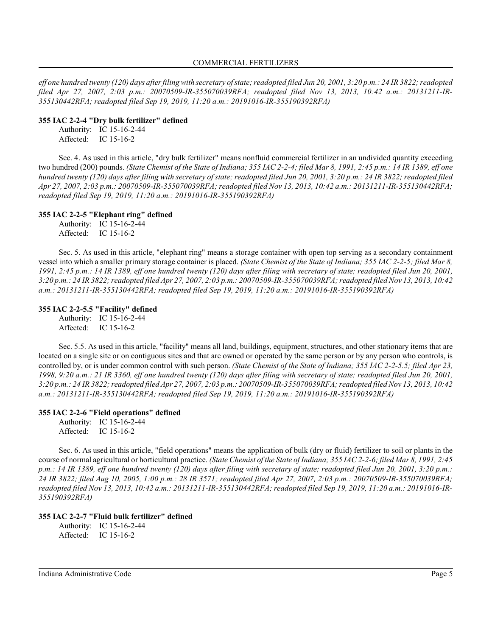*eff one hundred twenty (120) days after filingwith secretary of state; readopted filed Jun 20, 2001, 3:20 p.m.: 24 IR 3822; readopted filed Apr 27, 2007, 2:03 p.m.: 20070509-IR-355070039RFA; readopted filed Nov 13, 2013, 10:42 a.m.: 20131211-IR-355130442RFA; readopted filed Sep 19, 2019, 11:20 a.m.: 20191016-IR-355190392RFA)*

#### **355 IAC 2-2-4 "Dry bulk fertilizer" defined**

Authority: IC 15-16-2-44 Affected: IC 15-16-2

Sec. 4. As used in this article, "dry bulk fertilizer" means nonfluid commercial fertilizer in an undivided quantity exceeding two hundred (200) pounds. *(State Chemist of the State of Indiana; 355 IAC 2-2-4; filed Mar 8, 1991, 2:45 p.m.: 14 IR 1389, eff one hundred twenty (120) days after filing with secretary of state; readopted filed Jun 20, 2001, 3:20 p.m.: 24 IR 3822; readopted filed Apr 27, 2007, 2:03 p.m.: 20070509-IR-355070039RFA; readopted filed Nov 13, 2013, 10:42 a.m.: 20131211-IR-355130442RFA; readopted filed Sep 19, 2019, 11:20 a.m.: 20191016-IR-355190392RFA)*

## **355 IAC 2-2-5 "Elephant ring" defined**

Authority: IC 15-16-2-44 Affected: IC 15-16-2

Sec. 5. As used in this article, "elephant ring" means a storage container with open top serving as a secondary containment vessel into which a smaller primary storage container is placed. *(State Chemist of the State of Indiana; 355 IAC 2-2-5; filed Mar 8, 1991, 2:45 p.m.: 14 IR 1389, eff one hundred twenty (120) days after filing with secretary of state; readopted filed Jun 20, 2001, 3:20 p.m.: 24 IR 3822; readopted filed Apr 27, 2007, 2:03 p.m.: 20070509-IR-355070039RFA; readopted filedNov 13, 2013, 10:42 a.m.: 20131211-IR-355130442RFA; readopted filed Sep 19, 2019, 11:20 a.m.: 20191016-IR-355190392RFA)*

## **355 IAC 2-2-5.5 "Facility" defined**

Authority: IC 15-16-2-44 Affected: IC 15-16-2

Sec. 5.5. As used in this article, "facility" means all land, buildings, equipment, structures, and other stationary items that are located on a single site or on contiguous sites and that are owned or operated by the same person or by any person who controls, is controlled by, or is under common control with such person. *(State Chemist of the State of Indiana; 355 IAC 2-2-5.5; filed Apr 23, 1998, 9:20 a.m.: 21 IR 3360, eff one hundred twenty (120) days after filing with secretary of state; readopted filed Jun 20, 2001, 3:20 p.m.: 24 IR 3822; readopted filed Apr 27, 2007, 2:03 p.m.: 20070509-IR-355070039RFA; readopted filedNov 13, 2013, 10:42 a.m.: 20131211-IR-355130442RFA; readopted filed Sep 19, 2019, 11:20 a.m.: 20191016-IR-355190392RFA)*

## **355 IAC 2-2-6 "Field operations" defined**

Authority: IC 15-16-2-44 Affected: IC 15-16-2

Sec. 6. As used in this article, "field operations" means the application of bulk (dry or fluid) fertilizer to soil or plants in the course of normal agricultural or horticultural practice. *(State Chemist of the State of Indiana; 355 IAC 2-2-6; filed Mar 8, 1991, 2:45 p.m.: 14 IR 1389, eff one hundred twenty (120) days after filing with secretary of state; readopted filed Jun 20, 2001, 3:20 p.m.: 24 IR 3822; filed Aug 10, 2005, 1:00 p.m.: 28 IR 3571; readopted filed Apr 27, 2007, 2:03 p.m.: 20070509-IR-355070039RFA; readopted filed Nov 13, 2013, 10:42 a.m.: 20131211-IR-355130442RFA; readopted filed Sep 19, 2019, 11:20 a.m.: 20191016-IR-355190392RFA)*

## **355 IAC 2-2-7 "Fluid bulk fertilizer" defined**

Authority: IC 15-16-2-44 Affected: IC 15-16-2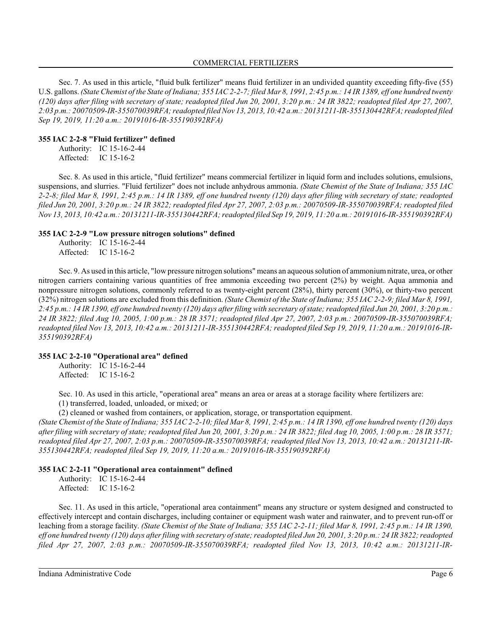Sec. 7. As used in this article, "fluid bulk fertilizer" means fluid fertilizer in an undivided quantity exceeding fifty-five (55) U.S. gallons. *(State Chemist of the State of Indiana; 355 IAC 2-2-7; filed Mar 8, 1991, 2:45 p.m.: 14 IR 1389, eff one hundred twenty (120) days after filing with secretary of state; readopted filed Jun 20, 2001, 3:20 p.m.: 24 IR 3822; readopted filed Apr 27, 2007, 2:03 p.m.: 20070509-IR-355070039RFA; readopted filedNov 13, 2013, 10:42 a.m.: 20131211-IR-355130442RFA; readopted filed Sep 19, 2019, 11:20 a.m.: 20191016-IR-355190392RFA)*

## **355 IAC 2-2-8 "Fluid fertilizer" defined**

Authority: IC 15-16-2-44 Affected: IC 15-16-2

Sec. 8. As used in this article, "fluid fertilizer" means commercial fertilizer in liquid form and includes solutions, emulsions, suspensions, and slurries. "Fluid fertilizer" does not include anhydrous ammonia. *(State Chemist of the State of Indiana; 355 IAC 2-2-8; filed Mar 8, 1991, 2:45 p.m.: 14 IR 1389, eff one hundred twenty (120) days after filing with secretary of state; readopted filed Jun 20, 2001, 3:20 p.m.: 24 IR 3822; readopted filed Apr 27, 2007, 2:03 p.m.: 20070509-IR-355070039RFA; readopted filed Nov 13, 2013, 10:42 a.m.: 20131211-IR-355130442RFA; readopted filed Sep 19, 2019, 11:20 a.m.: 20191016-IR-355190392RFA)*

#### **355 IAC 2-2-9 "Low pressure nitrogen solutions" defined**

Authority: IC 15-16-2-44 Affected: IC 15-16-2

Sec. 9. As used in this article, "low pressure nitrogen solutions" means an aqueous solution of ammoniumnitrate, urea, or other nitrogen carriers containing various quantities of free ammonia exceeding two percent (2%) by weight. Aqua ammonia and nonpressure nitrogen solutions, commonly referred to as twenty-eight percent (28%), thirty percent (30%), or thirty-two percent (32%) nitrogen solutions are excluded from this definition. *(State Chemist of the State of Indiana; 355 IAC 2-2-9; filed Mar 8, 1991, 2:45 p.m.: 14 IR 1390, eff one hundred twenty (120) days after filing with secretary of state; readopted filed Jun 20, 2001, 3:20 p.m.: 24 IR 3822; filed Aug 10, 2005, 1:00 p.m.: 28 IR 3571; readopted filed Apr 27, 2007, 2:03 p.m.: 20070509-IR-355070039RFA; readopted filed Nov 13, 2013, 10:42 a.m.: 20131211-IR-355130442RFA; readopted filed Sep 19, 2019, 11:20 a.m.: 20191016-IR-355190392RFA)*

## **355 IAC 2-2-10 "Operational area" defined**

Authority: IC 15-16-2-44 Affected: IC 15-16-2

Sec. 10. As used in this article, "operational area" means an area or areas at a storage facility where fertilizers are:

(1) transferred, loaded, unloaded, or mixed; or

(2) cleaned or washed from containers, or application, storage, or transportation equipment.

*(State Chemist of the State of Indiana; 355 IAC 2-2-10; filed Mar 8, 1991, 2:45 p.m.: 14 IR 1390, eff one hundred twenty (120) days after filing with secretary of state; readopted filed Jun 20, 2001, 3:20 p.m.: 24 IR 3822; filed Aug 10, 2005, 1:00 p.m.: 28 IR 3571; readopted filed Apr 27, 2007, 2:03 p.m.: 20070509-IR-355070039RFA; readopted filed Nov 13, 2013, 10:42 a.m.: 20131211-IR-355130442RFA; readopted filed Sep 19, 2019, 11:20 a.m.: 20191016-IR-355190392RFA)*

## **355 IAC 2-2-11 "Operational area containment" defined**

Authority: IC 15-16-2-44 Affected: IC 15-16-2

Sec. 11. As used in this article, "operational area containment" means any structure or system designed and constructed to effectively intercept and contain discharges, including container or equipment wash water and rainwater, and to prevent run-off or leaching from a storage facility. *(State Chemist of the State of Indiana; 355 IAC 2-2-11; filed Mar 8, 1991, 2:45 p.m.: 14 IR 1390, eff one hundred twenty (120) days after filing with secretary of state; readopted filed Jun 20, 2001, 3:20 p.m.: 24 IR 3822; readopted filed Apr 27, 2007, 2:03 p.m.: 20070509-IR-355070039RFA; readopted filed Nov 13, 2013, 10:42 a.m.: 20131211-IR-*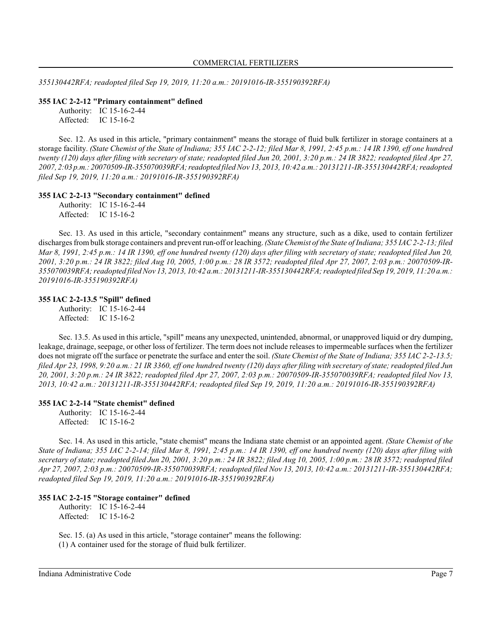*355130442RFA; readopted filed Sep 19, 2019, 11:20 a.m.: 20191016-IR-355190392RFA)*

#### **355 IAC 2-2-12 "Primary containment" defined**

Authority: IC 15-16-2-44 Affected: IC 15-16-2

Sec. 12. As used in this article, "primary containment" means the storage of fluid bulk fertilizer in storage containers at a storage facility. *(State Chemist of the State of Indiana; 355 IAC 2-2-12; filed Mar 8, 1991, 2:45 p.m.: 14 IR 1390, eff one hundred twenty (120) days after filing with secretary of state; readopted filed Jun 20, 2001, 3:20 p.m.: 24 IR 3822; readopted filed Apr 27, 2007, 2:03 p.m.: 20070509-IR-355070039RFA;readopted filedNov 13, 2013, 10:42 a.m.: 20131211-IR-355130442RFA; readopted filed Sep 19, 2019, 11:20 a.m.: 20191016-IR-355190392RFA)*

#### **355 IAC 2-2-13 "Secondary containment" defined**

Authority: IC 15-16-2-44 Affected: IC 15-16-2

Sec. 13. As used in this article, "secondary containment" means any structure, such as a dike, used to contain fertilizer discharges frombulk storage containers and prevent run-off or leaching. *(State Chemist of the State of Indiana; 355 IAC 2-2-13; filed Mar 8, 1991, 2:45 p.m.: 14 IR 1390, eff one hundred twenty (120) days after filing with secretary of state; readopted filed Jun 20, 2001, 3:20 p.m.: 24 IR 3822; filed Aug 10, 2005, 1:00 p.m.: 28 IR 3572; readopted filed Apr 27, 2007, 2:03 p.m.: 20070509-IR-355070039RFA; readopted filedNov 13, 2013, 10:42 a.m.: 20131211-IR-355130442RFA; readopted filed Sep 19, 2019, 11:20 a.m.: 20191016-IR-355190392RFA)*

## **355 IAC 2-2-13.5 "Spill" defined**

Authority: IC 15-16-2-44 Affected: IC 15-16-2

Sec. 13.5. As used in this article, "spill" means any unexpected, unintended, abnormal, or unapproved liquid or dry dumping, leakage, drainage, seepage, or other loss of fertilizer. The term does not include releases to impermeable surfaces when the fertilizer does not migrate off the surface or penetrate the surface and enter the soil. *(State Chemist of the State of Indiana; 355 IAC 2-2-13.5; filed Apr 23, 1998, 9:20 a.m.: 21 IR 3360, eff one hundred twenty (120) days after filing with secretary of state; readopted filed Jun 20, 2001, 3:20 p.m.: 24 IR 3822; readopted filed Apr 27, 2007, 2:03 p.m.: 20070509-IR-355070039RFA; readopted filed Nov 13, 2013, 10:42 a.m.: 20131211-IR-355130442RFA; readopted filed Sep 19, 2019, 11:20 a.m.: 20191016-IR-355190392RFA)*

## **355 IAC 2-2-14 "State chemist" defined**

Authority: IC 15-16-2-44 Affected: IC 15-16-2

Sec. 14. As used in this article, "state chemist" means the Indiana state chemist or an appointed agent. *(State Chemist of the State of Indiana; 355 IAC 2-2-14; filed Mar 8, 1991, 2:45 p.m.: 14 IR 1390, eff one hundred twenty (120) days after filing with secretary of state; readopted filed Jun 20, 2001, 3:20 p.m.: 24 IR 3822; filed Aug 10, 2005, 1:00 p.m.: 28 IR 3572; readopted filed Apr 27, 2007, 2:03 p.m.: 20070509-IR-355070039RFA; readopted filed Nov 13, 2013, 10:42 a.m.: 20131211-IR-355130442RFA; readopted filed Sep 19, 2019, 11:20 a.m.: 20191016-IR-355190392RFA)*

## **355 IAC 2-2-15 "Storage container" defined**

Authority: IC 15-16-2-44 Affected: IC 15-16-2

Sec. 15. (a) As used in this article, "storage container" means the following: (1) A container used for the storage of fluid bulk fertilizer.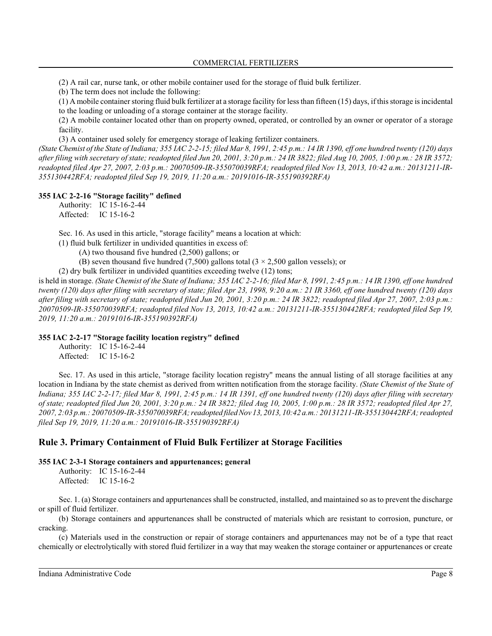(2) A rail car, nurse tank, or other mobile container used for the storage of fluid bulk fertilizer.

(b) The term does not include the following:

(1) A mobile container storing fluid bulk fertilizer at a storage facility for less than fifteen (15) days, if this storage is incidental to the loading or unloading of a storage container at the storage facility.

(2) A mobile container located other than on property owned, operated, or controlled by an owner or operator of a storage facility.

(3) A container used solely for emergency storage of leaking fertilizer containers.

*(State Chemist of the State of Indiana; 355 IAC 2-2-15; filed Mar 8, 1991, 2:45 p.m.: 14 IR 1390, eff one hundred twenty (120) days after filing with secretary of state; readopted filed Jun 20, 2001, 3:20 p.m.: 24 IR 3822; filed Aug 10, 2005, 1:00 p.m.: 28 IR 3572; readopted filed Apr 27, 2007, 2:03 p.m.: 20070509-IR-355070039RFA; readopted filed Nov 13, 2013, 10:42 a.m.: 20131211-IR-355130442RFA; readopted filed Sep 19, 2019, 11:20 a.m.: 20191016-IR-355190392RFA)*

## **355 IAC 2-2-16 "Storage facility" defined**

Authority: IC 15-16-2-44 Affected: IC 15-16-2

Sec. 16. As used in this article, "storage facility" means a location at which:

(1) fluid bulk fertilizer in undivided quantities in excess of:

(A) two thousand five hundred (2,500) gallons; or

- (B) seven thousand five hundred (7,500) gallons total  $(3 \times 2,500)$  gallon vessels); or
- (2) dry bulk fertilizer in undivided quantities exceeding twelve (12) tons;

is held in storage. *(State Chemist of the State of Indiana; 355 IAC 2-2-16; filed Mar 8, 1991, 2:45 p.m.: 14 IR 1390, eff one hundred twenty (120) days after filing with secretary of state; filed Apr 23, 1998, 9:20 a.m.: 21 IR 3360, eff one hundred twenty (120) days after filing with secretary of state; readopted filed Jun 20, 2001, 3:20 p.m.: 24 IR 3822; readopted filed Apr 27, 2007, 2:03 p.m.: 20070509-IR-355070039RFA; readopted filed Nov 13, 2013, 10:42 a.m.: 20131211-IR-355130442RFA; readopted filed Sep 19, 2019, 11:20 a.m.: 20191016-IR-355190392RFA)*

#### **355 IAC 2-2-17 "Storage facility location registry" defined**

Authority: IC 15-16-2-44 Affected: IC 15-16-2

Sec. 17. As used in this article, "storage facility location registry" means the annual listing of all storage facilities at any location in Indiana by the state chemist as derived from written notification from the storage facility. *(State Chemist of the State of Indiana; 355 IAC 2-2-17; filed Mar 8, 1991, 2:45 p.m.: 14 IR 1391, eff one hundred twenty (120) days after filing with secretary of state; readopted filed Jun 20, 2001, 3:20 p.m.: 24 IR 3822; filed Aug 10, 2005, 1:00 p.m.: 28 IR 3572; readopted filed Apr 27, 2007, 2:03 p.m.: 20070509-IR-355070039RFA;readopted filedNov 13, 2013, 10:42 a.m.: 20131211-IR-355130442RFA; readopted filed Sep 19, 2019, 11:20 a.m.: 20191016-IR-355190392RFA)*

## **Rule 3. Primary Containment of Fluid Bulk Fertilizer at Storage Facilities**

## **355 IAC 2-3-1 Storage containers and appurtenances; general**

Authority: IC 15-16-2-44 Affected: IC 15-16-2

Sec. 1. (a) Storage containers and appurtenances shall be constructed, installed, and maintained so as to prevent the discharge or spill of fluid fertilizer.

(b) Storage containers and appurtenances shall be constructed of materials which are resistant to corrosion, puncture, or cracking.

(c) Materials used in the construction or repair of storage containers and appurtenances may not be of a type that react chemically or electrolytically with stored fluid fertilizer in a way that may weaken the storage container or appurtenances or create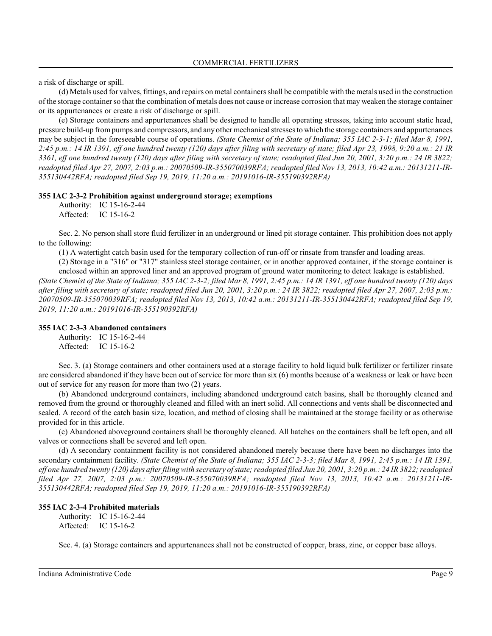a risk of discharge or spill.

(d) Metals used for valves, fittings, and repairs on metal containers shall be compatible with the metals used in the construction of the storage container so that the combination of metals does not cause or increase corrosion that may weaken the storage container or its appurtenances or create a risk of discharge or spill.

(e) Storage containers and appurtenances shall be designed to handle all operating stresses, taking into account static head, pressure build-up frompumps and compressors, and any other mechanical stresses to which the storage containers and appurtenances may be subject in the foreseeable course of operations. *(State Chemist of the State of Indiana; 355 IAC 2-3-1; filed Mar 8, 1991, 2:45 p.m.: 14 IR 1391, eff one hundred twenty (120) days after filing with secretary of state; filed Apr 23, 1998, 9:20 a.m.: 21 IR 3361, eff one hundred twenty (120) days after filing with secretary of state; readopted filed Jun 20, 2001, 3:20 p.m.: 24 IR 3822; readopted filed Apr 27, 2007, 2:03 p.m.: 20070509-IR-355070039RFA; readopted filed Nov 13, 2013, 10:42 a.m.: 20131211-IR-355130442RFA; readopted filed Sep 19, 2019, 11:20 a.m.: 20191016-IR-355190392RFA)*

#### **355 IAC 2-3-2 Prohibition against underground storage; exemptions**

Authority: IC 15-16-2-44 Affected: IC 15-16-2

Sec. 2. No person shall store fluid fertilizer in an underground or lined pit storage container. This prohibition does not apply to the following:

(1) A watertight catch basin used for the temporary collection of run-off or rinsate from transfer and loading areas.

(2) Storage in a "316" or "317" stainless steel storage container, or in another approved container, if the storage container is enclosed within an approved liner and an approved program of ground water monitoring to detect leakage is established.

*(State Chemist of the State of Indiana; 355 IAC 2-3-2; filed Mar 8, 1991, 2:45 p.m.: 14 IR 1391, eff one hundred twenty (120) days after filing with secretary of state; readopted filed Jun 20, 2001, 3:20 p.m.: 24 IR 3822; readopted filed Apr 27, 2007, 2:03 p.m.: 20070509-IR-355070039RFA; readopted filed Nov 13, 2013, 10:42 a.m.: 20131211-IR-355130442RFA; readopted filed Sep 19, 2019, 11:20 a.m.: 20191016-IR-355190392RFA)*

#### **355 IAC 2-3-3 Abandoned containers**

Authority: IC 15-16-2-44 Affected: IC 15-16-2

Sec. 3. (a) Storage containers and other containers used at a storage facility to hold liquid bulk fertilizer or fertilizer rinsate are considered abandoned if they have been out of service for more than six (6) months because of a weakness or leak or have been out of service for any reason for more than two (2) years.

(b) Abandoned underground containers, including abandoned underground catch basins, shall be thoroughly cleaned and removed from the ground or thoroughly cleaned and filled with an inert solid. All connections and vents shall be disconnected and sealed. A record of the catch basin size, location, and method of closing shall be maintained at the storage facility or as otherwise provided for in this article.

(c) Abandoned aboveground containers shall be thoroughly cleaned. All hatches on the containers shall be left open, and all valves or connections shall be severed and left open.

(d) A secondary containment facility is not considered abandoned merely because there have been no discharges into the secondary containment facility. *(State Chemist of the State of Indiana; 355 IAC 2-3-3; filed Mar 8, 1991, 2:45 p.m.: 14 IR 1391, eff one hundred twenty (120) days after filing with secretary of state; readopted filed Jun 20, 2001, 3:20 p.m.: 24 IR 3822; readopted filed Apr 27, 2007, 2:03 p.m.: 20070509-IR-355070039RFA; readopted filed Nov 13, 2013, 10:42 a.m.: 20131211-IR-355130442RFA; readopted filed Sep 19, 2019, 11:20 a.m.: 20191016-IR-355190392RFA)*

#### **355 IAC 2-3-4 Prohibited materials**

Authority: IC 15-16-2-44 Affected: IC 15-16-2

Sec. 4. (a) Storage containers and appurtenances shall not be constructed of copper, brass, zinc, or copper base alloys.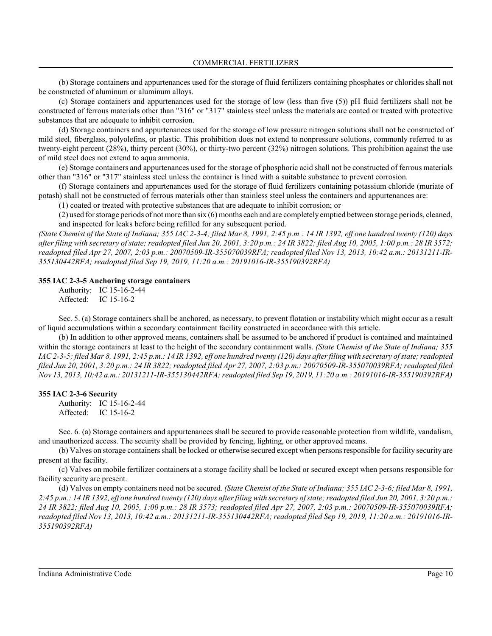(b) Storage containers and appurtenances used for the storage of fluid fertilizers containing phosphates or chlorides shall not be constructed of aluminum or aluminum alloys.

(c) Storage containers and appurtenances used for the storage of low (less than five (5)) pH fluid fertilizers shall not be constructed of ferrous materials other than "316" or "317" stainless steel unless the materials are coated or treated with protective substances that are adequate to inhibit corrosion.

(d) Storage containers and appurtenances used for the storage of low pressure nitrogen solutions shall not be constructed of mild steel, fiberglass, polyolefins, or plastic. This prohibition does not extend to nonpressure solutions, commonly referred to as twenty-eight percent (28%), thirty percent (30%), or thirty-two percent (32%) nitrogen solutions. This prohibition against the use of mild steel does not extend to aqua ammonia.

(e) Storage containers and appurtenances used for the storage of phosphoric acid shall not be constructed of ferrous materials other than "316" or "317" stainless steel unless the container is lined with a suitable substance to prevent corrosion.

(f) Storage containers and appurtenances used for the storage of fluid fertilizers containing potassium chloride (muriate of potash) shall not be constructed of ferrous materials other than stainless steel unless the containers and appurtenances are:

(1) coated or treated with protective substances that are adequate to inhibit corrosion; or

(2) used for storage periods of not more than six (6) months each and are completely emptied between storage periods, cleaned, and inspected for leaks before being refilled for any subsequent period.

*(State Chemist of the State of Indiana; 355 IAC 2-3-4; filed Mar 8, 1991, 2:45 p.m.: 14 IR 1392, eff one hundred twenty (120) days after filing with secretary of state; readopted filed Jun 20, 2001, 3:20 p.m.: 24 IR 3822; filed Aug 10, 2005, 1:00 p.m.: 28 IR 3572; readopted filed Apr 27, 2007, 2:03 p.m.: 20070509-IR-355070039RFA; readopted filed Nov 13, 2013, 10:42 a.m.: 20131211-IR-355130442RFA; readopted filed Sep 19, 2019, 11:20 a.m.: 20191016-IR-355190392RFA)*

#### **355 IAC 2-3-5 Anchoring storage containers**

Authority: IC 15-16-2-44 Affected: IC 15-16-2

Sec. 5. (a) Storage containers shall be anchored, as necessary, to prevent flotation or instability which might occur as a result of liquid accumulations within a secondary containment facility constructed in accordance with this article.

(b) In addition to other approved means, containers shall be assumed to be anchored if product is contained and maintained within the storage containers at least to the height of the secondary containment walls. *(State Chemist of the State of Indiana; 355 IAC 2-3-5; filed Mar 8, 1991, 2:45 p.m.: 14 IR 1392, eff one hundred twenty (120) days after filing with secretary of state; readopted filed Jun 20, 2001, 3:20 p.m.: 24 IR 3822; readopted filed Apr 27, 2007, 2:03 p.m.: 20070509-IR-355070039RFA; readopted filed Nov 13, 2013, 10:42 a.m.: 20131211-IR-355130442RFA; readopted filed Sep 19, 2019, 11:20 a.m.: 20191016-IR-355190392RFA)*

#### **355 IAC 2-3-6 Security**

Authority: IC 15-16-2-44 Affected: IC 15-16-2

Sec. 6. (a) Storage containers and appurtenances shall be secured to provide reasonable protection from wildlife, vandalism, and unauthorized access. The security shall be provided by fencing, lighting, or other approved means.

(b) Valves on storage containers shall be locked or otherwise secured except when persons responsible for facility security are present at the facility.

(c) Valves on mobile fertilizer containers at a storage facility shall be locked or secured except when persons responsible for facility security are present.

(d) Valves on empty containers need not be secured. *(State Chemist of the State of Indiana; 355 IAC 2-3-6; filed Mar 8, 1991, 2:45 p.m.: 14 IR 1392, eff one hundred twenty (120) days after filing with secretary ofstate; readopted filed Jun 20, 2001, 3:20 p.m.: 24 IR 3822; filed Aug 10, 2005, 1:00 p.m.: 28 IR 3573; readopted filed Apr 27, 2007, 2:03 p.m.: 20070509-IR-355070039RFA; readopted filed Nov 13, 2013, 10:42 a.m.: 20131211-IR-355130442RFA; readopted filed Sep 19, 2019, 11:20 a.m.: 20191016-IR-355190392RFA)*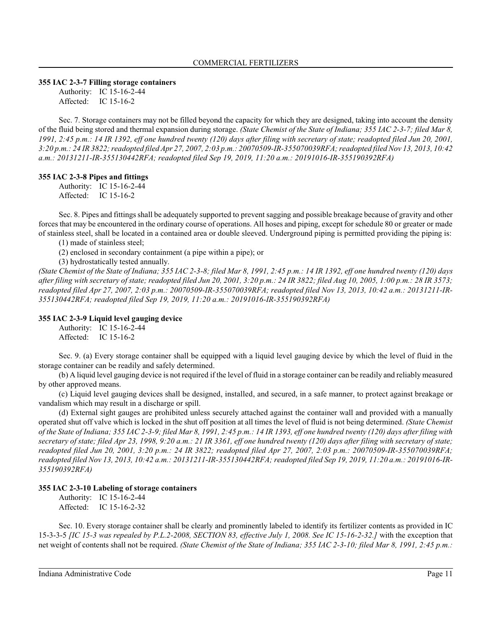#### **355 IAC 2-3-7 Filling storage containers**

Authority: IC 15-16-2-44 Affected: IC 15-16-2

Sec. 7. Storage containers may not be filled beyond the capacity for which they are designed, taking into account the density of the fluid being stored and thermal expansion during storage. *(State Chemist of the State of Indiana; 355 IAC 2-3-7; filed Mar 8, 1991, 2:45 p.m.: 14 IR 1392, eff one hundred twenty (120) days after filing with secretary of state; readopted filed Jun 20, 2001, 3:20 p.m.: 24 IR 3822; readopted filed Apr 27, 2007, 2:03 p.m.: 20070509-IR-355070039RFA; readopted filedNov 13, 2013, 10:42 a.m.: 20131211-IR-355130442RFA; readopted filed Sep 19, 2019, 11:20 a.m.: 20191016-IR-355190392RFA)*

## **355 IAC 2-3-8 Pipes and fittings**

Authority: IC 15-16-2-44 Affected: IC 15-16-2

Sec. 8. Pipes and fittings shall be adequately supported to prevent sagging and possible breakage because of gravity and other forces that may be encountered in the ordinary course of operations. All hoses and piping, except for schedule 80 or greater or made of stainless steel, shall be located in a contained area or double sleeved. Underground piping is permitted providing the piping is:

(1) made of stainless steel;

(2) enclosed in secondary containment (a pipe within a pipe); or

(3) hydrostatically tested annually.

*(State Chemist of the State of Indiana; 355 IAC 2-3-8; filed Mar 8, 1991, 2:45 p.m.: 14 IR 1392, eff one hundred twenty (120) days after filing with secretary of state; readopted filed Jun 20, 2001, 3:20 p.m.: 24 IR 3822; filed Aug 10, 2005, 1:00 p.m.: 28 IR 3573; readopted filed Apr 27, 2007, 2:03 p.m.: 20070509-IR-355070039RFA; readopted filed Nov 13, 2013, 10:42 a.m.: 20131211-IR-355130442RFA; readopted filed Sep 19, 2019, 11:20 a.m.: 20191016-IR-355190392RFA)*

## **355 IAC 2-3-9 Liquid level gauging device**

Authority: IC 15-16-2-44 Affected: IC 15-16-2

Sec. 9. (a) Every storage container shall be equipped with a liquid level gauging device by which the level of fluid in the storage container can be readily and safely determined.

(b) A liquid level gauging device is not required if the level of fluid in a storage container can be readily and reliably measured by other approved means.

(c) Liquid level gauging devices shall be designed, installed, and secured, in a safe manner, to protect against breakage or vandalism which may result in a discharge or spill.

(d) External sight gauges are prohibited unless securely attached against the container wall and provided with a manually operated shut off valve which is locked in the shut off position at all times the level of fluid is not being determined. *(State Chemist of the State of Indiana; 355 IAC 2-3-9; filed Mar 8, 1991, 2:45 p.m.: 14 IR 1393, eff one hundred twenty (120) days after filing with secretary of state; filed Apr 23, 1998, 9:20 a.m.: 21 IR 3361, eff one hundred twenty (120) days after filing with secretary of state; readopted filed Jun 20, 2001, 3:20 p.m.: 24 IR 3822; readopted filed Apr 27, 2007, 2:03 p.m.: 20070509-IR-355070039RFA; readopted filed Nov 13, 2013, 10:42 a.m.: 20131211-IR-355130442RFA; readopted filed Sep 19, 2019, 11:20 a.m.: 20191016-IR-355190392RFA)*

## **355 IAC 2-3-10 Labeling of storage containers**

Authority: IC 15-16-2-44 Affected: IC 15-16-2-32

Sec. 10. Every storage container shall be clearly and prominently labeled to identify its fertilizer contents as provided in IC 15-3-3-5 *[IC 15-3 was repealed by P.L.2-2008, SECTION 83, effective July 1, 2008. See IC 15-16-2-32.]* with the exception that net weight of contents shall not be required. *(State Chemist of the State of Indiana; 355 IAC 2-3-10; filed Mar 8, 1991, 2:45 p.m.:*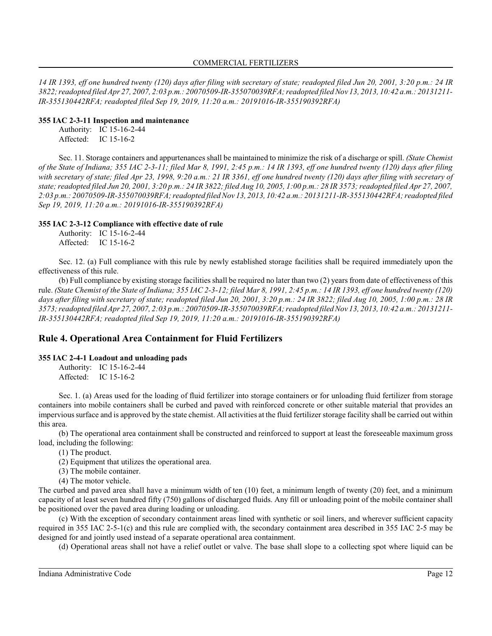*14 IR 1393, eff one hundred twenty (120) days after filing with secretary of state; readopted filed Jun 20, 2001, 3:20 p.m.: 24 IR 3822; readopted filed Apr 27, 2007, 2:03 p.m.: 20070509-IR-355070039RFA; readopted filedNov 13, 2013, 10:42 a.m.: 20131211- IR-355130442RFA; readopted filed Sep 19, 2019, 11:20 a.m.: 20191016-IR-355190392RFA)*

#### **355 IAC 2-3-11 Inspection and maintenance**

Authority: IC 15-16-2-44 Affected: IC 15-16-2

Sec. 11. Storage containers and appurtenances shall be maintained to minimize the risk of a discharge or spill. *(State Chemist of the State of Indiana; 355 IAC 2-3-11; filed Mar 8, 1991, 2:45 p.m.: 14 IR 1393, eff one hundred twenty (120) days after filing with secretary of state; filed Apr 23, 1998, 9:20 a.m.: 21 IR 3361, eff one hundred twenty (120) days after filing with secretary of state; readopted filed Jun 20, 2001, 3:20 p.m.: 24 IR 3822; filed Aug 10, 2005, 1:00 p.m.: 28 IR 3573; readopted filed Apr 27, 2007, 2:03 p.m.: 20070509-IR-355070039RFA; readopted filedNov 13, 2013, 10:42 a.m.: 20131211-IR-355130442RFA; readopted filed Sep 19, 2019, 11:20 a.m.: 20191016-IR-355190392RFA)*

## **355 IAC 2-3-12 Compliance with effective date of rule**

Authority: IC 15-16-2-44 Affected: IC 15-16-2

Sec. 12. (a) Full compliance with this rule by newly established storage facilities shall be required immediately upon the effectiveness of this rule.

(b) Full compliance by existing storage facilities shall be required no later than two (2) years from date of effectiveness of this rule. *(State Chemist of the State of Indiana; 355 IAC 2-3-12; filed Mar 8, 1991, 2:45 p.m.: 14 IR 1393, eff one hundred twenty (120) days after filing with secretary of state; readopted filed Jun 20, 2001, 3:20 p.m.: 24 IR 3822; filed Aug 10, 2005, 1:00 p.m.: 28 IR 3573; readopted filedApr 27, 2007, 2:03 p.m.: 20070509-IR-355070039RFA; readopted filedNov 13, 2013, 10:42 a.m.: 20131211- IR-355130442RFA; readopted filed Sep 19, 2019, 11:20 a.m.: 20191016-IR-355190392RFA)*

## **Rule 4. Operational Area Containment for Fluid Fertilizers**

## **355 IAC 2-4-1 Loadout and unloading pads**

Authority: IC 15-16-2-44 Affected: IC 15-16-2

Sec. 1. (a) Areas used for the loading of fluid fertilizer into storage containers or for unloading fluid fertilizer from storage containers into mobile containers shall be curbed and paved with reinforced concrete or other suitable material that provides an impervious surface and is approved by the state chemist. All activities at the fluid fertilizer storage facility shall be carried out within this area.

(b) The operational area containment shall be constructed and reinforced to support at least the foreseeable maximum gross load, including the following:

(1) The product.

(2) Equipment that utilizes the operational area.

(3) The mobile container.

(4) The motor vehicle.

The curbed and paved area shall have a minimum width of ten (10) feet, a minimum length of twenty (20) feet, and a minimum capacity of at least seven hundred fifty (750) gallons of discharged fluids. Any fill or unloading point of the mobile container shall be positioned over the paved area during loading or unloading.

(c) With the exception of secondary containment areas lined with synthetic or soil liners, and wherever sufficient capacity required in 355 IAC 2-5-1(c) and this rule are complied with, the secondary containment area described in 355 IAC 2-5 may be designed for and jointly used instead of a separate operational area containment.

(d) Operational areas shall not have a relief outlet or valve. The base shall slope to a collecting spot where liquid can be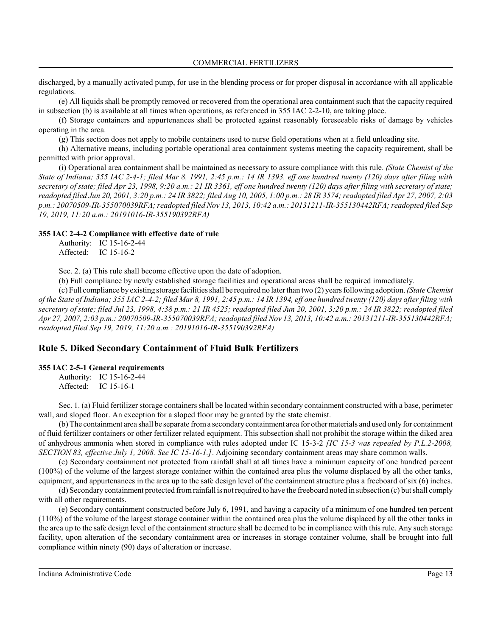discharged, by a manually activated pump, for use in the blending process or for proper disposal in accordance with all applicable regulations.

(e) All liquids shall be promptly removed or recovered from the operational area containment such that the capacity required in subsection (b) is available at all times when operations, as referenced in 355 IAC 2-2-10, are taking place.

(f) Storage containers and appurtenances shall be protected against reasonably foreseeable risks of damage by vehicles operating in the area.

(g) This section does not apply to mobile containers used to nurse field operations when at a field unloading site.

(h) Alternative means, including portable operational area containment systems meeting the capacity requirement, shall be permitted with prior approval.

(i) Operational area containment shall be maintained as necessary to assure compliance with this rule. *(State Chemist of the State of Indiana; 355 IAC 2-4-1; filed Mar 8, 1991, 2:45 p.m.: 14 IR 1393, eff one hundred twenty (120) days after filing with secretary of state; filed Apr 23, 1998, 9:20 a.m.: 21 IR 3361, eff one hundred twenty (120) days after filing with secretary of state; readopted filed Jun 20, 2001, 3:20 p.m.: 24 IR 3822; filed Aug 10, 2005, 1:00 p.m.: 28 IR 3574; readopted filed Apr 27, 2007, 2:03 p.m.: 20070509-IR-355070039RFA; readopted filed Nov 13, 2013, 10:42 a.m.: 20131211-IR-355130442RFA; readopted filed Sep 19, 2019, 11:20 a.m.: 20191016-IR-355190392RFA)*

#### **355 IAC 2-4-2 Compliance with effective date of rule**

Authority: IC 15-16-2-44 Affected: IC 15-16-2

Sec. 2. (a) This rule shall become effective upon the date of adoption.

(b) Full compliance by newly established storage facilities and operational areas shall be required immediately.

(c) Full compliance by existing storage facilities shall be required no later than two (2) years following adoption. *(State Chemist of the State of Indiana; 355 IAC 2-4-2; filed Mar 8, 1991, 2:45 p.m.: 14 IR 1394, eff one hundred twenty (120) days after filing with secretary of state; filed Jul 23, 1998, 4:38 p.m.: 21 IR 4525; readopted filed Jun 20, 2001, 3:20 p.m.: 24 IR 3822; readopted filed Apr 27, 2007, 2:03 p.m.: 20070509-IR-355070039RFA; readopted filed Nov 13, 2013, 10:42 a.m.: 20131211-IR-355130442RFA; readopted filed Sep 19, 2019, 11:20 a.m.: 20191016-IR-355190392RFA)*

## **Rule 5. Diked Secondary Containment of Fluid Bulk Fertilizers**

#### **355 IAC 2-5-1 General requirements**

Authority: IC 15-16-2-44 Affected: IC 15-16-1

Sec. 1. (a) Fluid fertilizer storage containers shall be located within secondary containment constructed with a base, perimeter wall, and sloped floor. An exception for a sloped floor may be granted by the state chemist.

(b) The containment area shall be separate froma secondary containment area for other materials and used only for containment of fluid fertilizer containers or other fertilizer related equipment. This subsection shall not prohibit the storage within the diked area of anhydrous ammonia when stored in compliance with rules adopted under IC 15-3-2 *[IC 15-3 was repealed by P.L.2-2008, SECTION 83, effective July 1, 2008. See IC 15-16-1.]*. Adjoining secondary containment areas may share common walls.

(c) Secondary containment not protected from rainfall shall at all times have a minimum capacity of one hundred percent (100%) of the volume of the largest storage container within the contained area plus the volume displaced by all the other tanks, equipment, and appurtenances in the area up to the safe design level of the containment structure plus a freeboard of six (6) inches.

(d) Secondary containment protected fromrainfall is not required to have the freeboard noted in subsection (c) but shall comply with all other requirements.

(e) Secondary containment constructed before July 6, 1991, and having a capacity of a minimum of one hundred ten percent (110%) of the volume of the largest storage container within the contained area plus the volume displaced by all the other tanks in the area up to the safe design level of the containment structure shall be deemed to be in compliance with this rule. Any such storage facility, upon alteration of the secondary containment area or increases in storage container volume, shall be brought into full compliance within ninety (90) days of alteration or increase.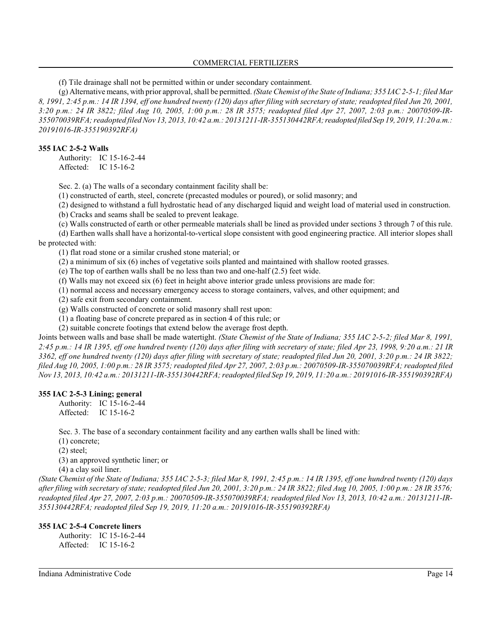(f) Tile drainage shall not be permitted within or under secondary containment.

(g) Alternative means, with prior approval, shall be permitted. *(State Chemist of the State of Indiana; 355 IAC 2-5-1; filed Mar 8, 1991, 2:45 p.m.: 14 IR 1394, eff one hundred twenty (120) days after filing with secretary of state; readopted filed Jun 20, 2001, 3:20 p.m.: 24 IR 3822; filed Aug 10, 2005, 1:00 p.m.: 28 IR 3575; readopted filed Apr 27, 2007, 2:03 p.m.: 20070509-IR-355070039RFA; readopted filedNov 13, 2013, 10:42 a.m.: 20131211-IR-355130442RFA;readopted filed Sep 19, 2019, 11:20 a.m.: 20191016-IR-355190392RFA)*

#### **355 IAC 2-5-2 Walls**

Authority: IC 15-16-2-44 Affected: IC 15-16-2

Sec. 2. (a) The walls of a secondary containment facility shall be:

(1) constructed of earth, steel, concrete (precasted modules or poured), or solid masonry; and

(2) designed to withstand a full hydrostatic head of any discharged liquid and weight load of material used in construction.

(b) Cracks and seams shall be sealed to prevent leakage.

(c) Walls constructed of earth or other permeable materials shall be lined as provided under sections 3 through 7 of this rule.

(d) Earthen walls shall have a horizontal-to-vertical slope consistent with good engineering practice. All interior slopes shall be protected with:

(1) flat road stone or a similar crushed stone material; or

(2) a minimum of six (6) inches of vegetative soils planted and maintained with shallow rooted grasses.

(e) The top of earthen walls shall be no less than two and one-half (2.5) feet wide.

(f) Walls may not exceed six (6) feet in height above interior grade unless provisions are made for:

(1) normal access and necessary emergency access to storage containers, valves, and other equipment; and

(2) safe exit from secondary containment.

(g) Walls constructed of concrete or solid masonry shall rest upon:

(1) a floating base of concrete prepared as in section 4 of this rule; or

(2) suitable concrete footings that extend below the average frost depth.

Joints between walls and base shall be made watertight. *(State Chemist of the State of Indiana; 355 IAC 2-5-2; filed Mar 8, 1991, 2:45 p.m.: 14 IR 1395, eff one hundred twenty (120) days after filing with secretary of state; filed Apr 23, 1998, 9:20 a.m.: 21 IR 3362, eff one hundred twenty (120) days after filing with secretary of state; readopted filed Jun 20, 2001, 3:20 p.m.: 24 IR 3822; filed Aug 10, 2005, 1:00 p.m.: 28 IR 3575; readopted filed Apr 27, 2007, 2:03 p.m.: 20070509-IR-355070039RFA; readopted filed Nov 13, 2013, 10:42 a.m.: 20131211-IR-355130442RFA; readopted filed Sep 19, 2019, 11:20 a.m.: 20191016-IR-355190392RFA)*

## **355 IAC 2-5-3 Lining; general**

Authority: IC 15-16-2-44 Affected: IC 15-16-2

Sec. 3. The base of a secondary containment facility and any earthen walls shall be lined with:

(1) concrete;

(2) steel;

(3) an approved synthetic liner; or

(4) a clay soil liner.

*(State Chemist of the State of Indiana; 355 IAC 2-5-3; filed Mar 8, 1991, 2:45 p.m.: 14 IR 1395, eff one hundred twenty (120) days after filing with secretary of state; readopted filed Jun 20, 2001, 3:20 p.m.: 24 IR 3822; filed Aug 10, 2005, 1:00 p.m.: 28 IR 3576; readopted filed Apr 27, 2007, 2:03 p.m.: 20070509-IR-355070039RFA; readopted filed Nov 13, 2013, 10:42 a.m.: 20131211-IR-355130442RFA; readopted filed Sep 19, 2019, 11:20 a.m.: 20191016-IR-355190392RFA)*

## **355 IAC 2-5-4 Concrete liners**

Authority: IC 15-16-2-44 Affected: IC 15-16-2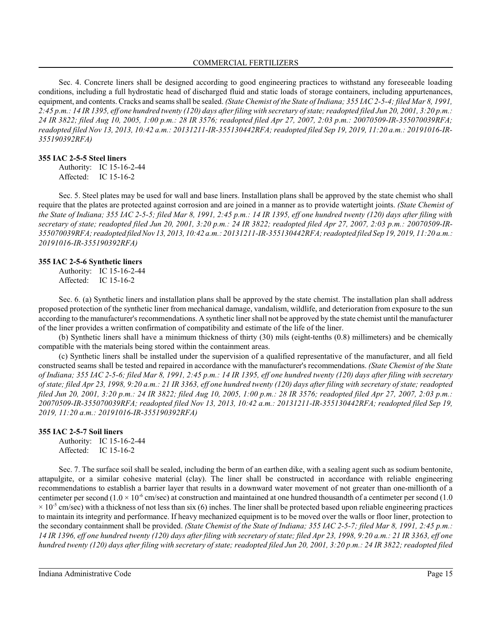Sec. 4. Concrete liners shall be designed according to good engineering practices to withstand any foreseeable loading conditions, including a full hydrostatic head of discharged fluid and static loads of storage containers, including appurtenances, equipment, and contents. Cracks and seamsshall be sealed. *(State Chemist of the State of Indiana; 355 IAC 2-5-4; filed Mar 8, 1991, 2:45 p.m.: 14 IR 1395, eff one hundred twenty (120) days after filing with secretary ofstate; readopted filed Jun 20, 2001, 3:20 p.m.: 24 IR 3822; filed Aug 10, 2005, 1:00 p.m.: 28 IR 3576; readopted filed Apr 27, 2007, 2:03 p.m.: 20070509-IR-355070039RFA; readopted filed Nov 13, 2013, 10:42 a.m.: 20131211-IR-355130442RFA; readopted filed Sep 19, 2019, 11:20 a.m.: 20191016-IR-355190392RFA)*

#### **355 IAC 2-5-5 Steel liners**

Authority: IC 15-16-2-44 Affected: IC 15-16-2

Sec. 5. Steel plates may be used for wall and base liners. Installation plans shall be approved by the state chemist who shall require that the plates are protected against corrosion and are joined in a manner as to provide watertight joints. *(State Chemist of the State of Indiana; 355 IAC 2-5-5; filed Mar 8, 1991, 2:45 p.m.: 14 IR 1395, eff one hundred twenty (120) days after filing with secretary of state; readopted filed Jun 20, 2001, 3:20 p.m.: 24 IR 3822; readopted filed Apr 27, 2007, 2:03 p.m.: 20070509-IR-355070039RFA; readopted filedNov 13, 2013, 10:42 a.m.: 20131211-IR-355130442RFA; readopted filed Sep 19, 2019, 11:20 a.m.: 20191016-IR-355190392RFA)*

#### **355 IAC 2-5-6 Synthetic liners**

Authority: IC 15-16-2-44 Affected: IC 15-16-2

Sec. 6. (a) Synthetic liners and installation plans shall be approved by the state chemist. The installation plan shall address proposed protection of the synthetic liner from mechanical damage, vandalism, wildlife, and deterioration from exposure to the sun according to the manufacturer's recommendations. A synthetic liner shall not be approved by the state chemist until the manufacturer of the liner provides a written confirmation of compatibility and estimate of the life of the liner.

(b) Synthetic liners shall have a minimum thickness of thirty (30) mils (eight-tenths (0.8) millimeters) and be chemically compatible with the materials being stored within the containment areas.

(c) Synthetic liners shall be installed under the supervision of a qualified representative of the manufacturer, and all field constructed seams shall be tested and repaired in accordance with the manufacturer's recommendations. *(State Chemist of the State of Indiana; 355 IAC 2-5-6; filed Mar 8, 1991, 2:45 p.m.: 14 IR 1395, eff one hundred twenty (120) days after filing with secretary of state; filed Apr 23, 1998, 9:20 a.m.: 21 IR 3363, eff one hundred twenty (120) days after filing with secretary of state; readopted filed Jun 20, 2001, 3:20 p.m.: 24 IR 3822; filed Aug 10, 2005, 1:00 p.m.: 28 IR 3576; readopted filed Apr 27, 2007, 2:03 p.m.: 20070509-IR-355070039RFA; readopted filed Nov 13, 2013, 10:42 a.m.: 20131211-IR-355130442RFA; readopted filed Sep 19, 2019, 11:20 a.m.: 20191016-IR-355190392RFA)*

#### **355 IAC 2-5-7 Soil liners**

Authority: IC 15-16-2-44 Affected: IC 15-16-2

Sec. 7. The surface soil shall be sealed, including the berm of an earthen dike, with a sealing agent such as sodium bentonite, attapulgite, or a similar cohesive material (clay). The liner shall be constructed in accordance with reliable engineering recommendations to establish a barrier layer that results in a downward water movement of not greater than one-millionth of a centimeter per second (1.0  $\times$  10<sup>-6</sup> cm/sec) at construction and maintained at one hundred thousandth of a centimeter per second (1.0  $\times$  10<sup>-5</sup> cm/sec) with a thickness of not less than six (6) inches. The liner shall be protected based upon reliable engineering practices to maintain its integrity and performance. If heavy mechanized equipment is to be moved over the walls or floor liner, protection to the secondary containment shall be provided. *(State Chemist of the State of Indiana; 355 IAC 2-5-7; filed Mar 8, 1991, 2:45 p.m.: 14 IR 1396, eff one hundred twenty (120) days after filing with secretary of state; filed Apr 23, 1998, 9:20 a.m.: 21 IR 3363, eff one hundred twenty (120) days after filing with secretary of state; readopted filed Jun 20, 2001, 3:20 p.m.: 24 IR 3822; readopted filed*

Indiana Administrative Code Page 15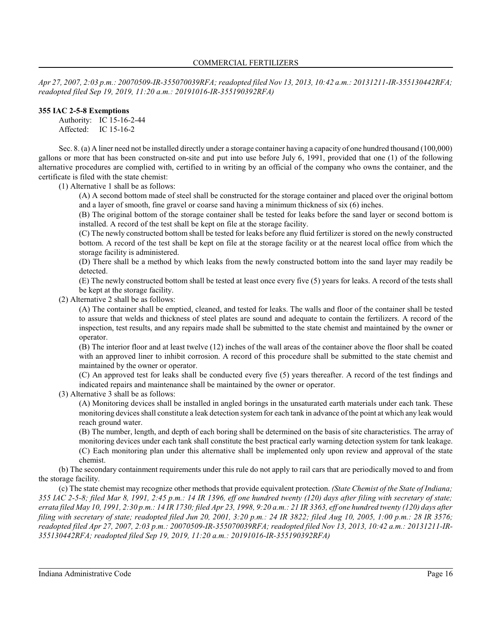*Apr 27, 2007, 2:03 p.m.: 20070509-IR-355070039RFA; readopted filed Nov 13, 2013, 10:42 a.m.: 20131211-IR-355130442RFA; readopted filed Sep 19, 2019, 11:20 a.m.: 20191016-IR-355190392RFA)*

## **355 IAC 2-5-8 Exemptions**

Authority: IC 15-16-2-44 Affected: IC 15-16-2

Sec. 8. (a) A liner need not be installed directly under a storage container having a capacity of one hundred thousand (100,000) gallons or more that has been constructed on-site and put into use before July 6, 1991, provided that one (1) of the following alternative procedures are complied with, certified to in writing by an official of the company who owns the container, and the certificate is filed with the state chemist:

(1) Alternative 1 shall be as follows:

(A) A second bottom made of steel shall be constructed for the storage container and placed over the original bottom and a layer of smooth, fine gravel or coarse sand having a minimum thickness of six (6) inches.

(B) The original bottom of the storage container shall be tested for leaks before the sand layer or second bottom is installed. A record of the test shall be kept on file at the storage facility.

(C) The newly constructed bottom shall be tested for leaks before any fluid fertilizer is stored on the newly constructed bottom. A record of the test shall be kept on file at the storage facility or at the nearest local office from which the storage facility is administered.

(D) There shall be a method by which leaks from the newly constructed bottom into the sand layer may readily be detected.

(E) The newly constructed bottom shall be tested at least once every five (5) years for leaks. A record of the tests shall be kept at the storage facility.

(2) Alternative 2 shall be as follows:

(A) The container shall be emptied, cleaned, and tested for leaks. The walls and floor of the container shall be tested to assure that welds and thickness of steel plates are sound and adequate to contain the fertilizers. A record of the inspection, test results, and any repairs made shall be submitted to the state chemist and maintained by the owner or operator.

(B) The interior floor and at least twelve (12) inches of the wall areas of the container above the floor shall be coated with an approved liner to inhibit corrosion. A record of this procedure shall be submitted to the state chemist and maintained by the owner or operator.

(C) An approved test for leaks shall be conducted every five (5) years thereafter. A record of the test findings and indicated repairs and maintenance shall be maintained by the owner or operator.

(3) Alternative 3 shall be as follows:

(A) Monitoring devices shall be installed in angled borings in the unsaturated earth materials under each tank. These monitoring devices shall constitute a leak detection system for each tank in advance ofthe point at which any leak would reach ground water.

(B) The number, length, and depth of each boring shall be determined on the basis of site characteristics. The array of monitoring devices under each tank shall constitute the best practical early warning detection system for tank leakage. (C) Each monitoring plan under this alternative shall be implemented only upon review and approval of the state chemist.

(b) The secondary containment requirements under this rule do not apply to rail cars that are periodically moved to and from the storage facility.

(c) The state chemist may recognize other methods that provide equivalent protection. *(State Chemist of the State of Indiana; 355 IAC 2-5-8; filed Mar 8, 1991, 2:45 p.m.: 14 IR 1396, eff one hundred twenty (120) days after filing with secretary of state; errata filed May 10, 1991, 2:30 p.m.: 14 IR 1730; filed Apr 23, 1998, 9:20 a.m.: 21 IR 3363, eff one hundred twenty (120) days after* filing with secretary of state; readopted filed Jun 20, 2001, 3:20 p.m.: 24 IR 3822; filed Aug 10, 2005, 1:00 p.m.: 28 IR 3576; *readopted filed Apr 27, 2007, 2:03 p.m.: 20070509-IR-355070039RFA; readopted filed Nov 13, 2013, 10:42 a.m.: 20131211-IR-355130442RFA; readopted filed Sep 19, 2019, 11:20 a.m.: 20191016-IR-355190392RFA)*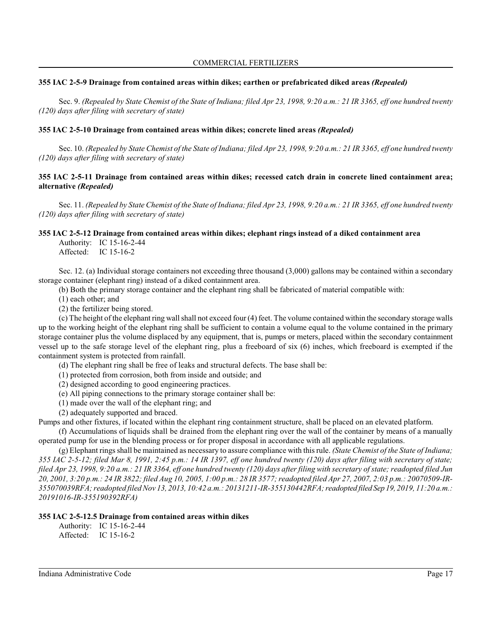## **355 IAC 2-5-9 Drainage from contained areas within dikes; earthen or prefabricated diked areas** *(Repealed)*

Sec. 9. *(Repealed by State Chemist of the State of Indiana; filed Apr 23, 1998, 9:20 a.m.: 21 IR 3365, eff one hundred twenty (120) days after filing with secretary of state)*

## **355 IAC 2-5-10 Drainage from contained areas within dikes; concrete lined areas** *(Repealed)*

Sec. 10. *(Repealed by State Chemist of the State of Indiana; filed Apr 23, 1998, 9:20 a.m.: 21 IR 3365, eff one hundred twenty (120) days after filing with secretary of state)*

## **355 IAC 2-5-11 Drainage from contained areas within dikes; recessed catch drain in concrete lined containment area; alternative** *(Repealed)*

Sec. 11. *(Repealed by State Chemist of the State of Indiana; filed Apr 23, 1998, 9:20 a.m.: 21 IR 3365, eff one hundred twenty (120) days after filing with secretary of state)*

## **355 IAC 2-5-12 Drainage from contained areas within dikes; elephant rings instead of a diked containment area**

Authority: IC 15-16-2-44 Affected: IC 15-16-2

Sec. 12. (a) Individual storage containers not exceeding three thousand  $(3,000)$  gallons may be contained within a secondary storage container (elephant ring) instead of a diked containment area.

(b) Both the primary storage container and the elephant ring shall be fabricated of material compatible with:

- (1) each other; and
- (2) the fertilizer being stored.

(c) The height of the elephant ring wall shall not exceed four (4) feet. The volume contained within the secondary storage walls up to the working height of the elephant ring shall be sufficient to contain a volume equal to the volume contained in the primary storage container plus the volume displaced by any equipment, that is, pumps or meters, placed within the secondary containment vessel up to the safe storage level of the elephant ring, plus a freeboard of six (6) inches, which freeboard is exempted if the containment system is protected from rainfall.

- (d) The elephant ring shall be free of leaks and structural defects. The base shall be:
- (1) protected from corrosion, both from inside and outside; and
- (2) designed according to good engineering practices.
- (e) All piping connections to the primary storage container shall be:
- (1) made over the wall of the elephant ring; and
- (2) adequately supported and braced.

Pumps and other fixtures, if located within the elephant ring containment structure, shall be placed on an elevated platform.

(f) Accumulations of liquids shall be drained from the elephant ring over the wall of the container by means of a manually operated pump for use in the blending process or for proper disposal in accordance with all applicable regulations.

(g) Elephant rings shall be maintained as necessary to assure compliance with this rule. *(State Chemist of the State of Indiana; 355 IAC 2-5-12; filed Mar 8, 1991, 2:45 p.m.: 14 IR 1397, eff one hundred twenty (120) days after filing with secretary of state; filed Apr 23, 1998, 9:20 a.m.: 21 IR 3364, eff one hundred twenty (120) days after filing with secretary of state; readopted filed Jun 20, 2001, 3:20 p.m.: 24 IR 3822; filed Aug 10, 2005, 1:00 p.m.: 28 IR 3577; readopted filed Apr 27, 2007, 2:03 p.m.: 20070509-IR-355070039RFA; readopted filedNov 13, 2013, 10:42 a.m.: 20131211-IR-355130442RFA;readopted filed Sep 19, 2019, 11:20 a.m.: 20191016-IR-355190392RFA)*

## **355 IAC 2-5-12.5 Drainage from contained areas within dikes**

Authority: IC 15-16-2-44 Affected: IC 15-16-2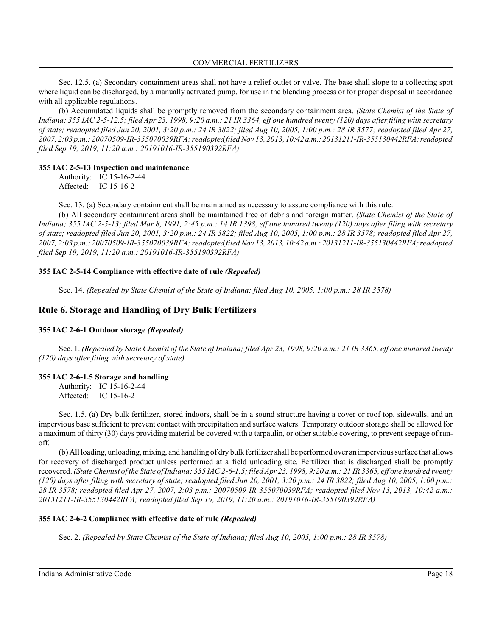Sec. 12.5. (a) Secondary containment areas shall not have a relief outlet or valve. The base shall slope to a collecting spot where liquid can be discharged, by a manually activated pump, for use in the blending process or for proper disposal in accordance with all applicable regulations.

(b) Accumulated liquids shall be promptly removed from the secondary containment area. *(State Chemist of the State of Indiana; 355 IAC 2-5-12.5; filed Apr 23, 1998, 9:20 a.m.: 21 IR 3364, eff one hundred twenty (120) days after filing with secretary of state; readopted filed Jun 20, 2001, 3:20 p.m.: 24 IR 3822; filed Aug 10, 2005, 1:00 p.m.: 28 IR 3577; readopted filed Apr 27, 2007, 2:03 p.m.: 20070509-IR-355070039RFA; readopted filedNov 13, 2013, 10:42 a.m.: 20131211-IR-355130442RFA;readopted filed Sep 19, 2019, 11:20 a.m.: 20191016-IR-355190392RFA)*

#### **355 IAC 2-5-13 Inspection and maintenance**

Authority: IC 15-16-2-44 Affected: IC 15-16-2

Sec. 13. (a) Secondary containment shall be maintained as necessary to assure compliance with this rule.

(b) All secondary containment areas shall be maintained free of debris and foreign matter. *(State Chemist of the State of Indiana; 355 IAC 2-5-13; filed Mar 8, 1991, 2:45 p.m.: 14 IR 1398, eff one hundred twenty (120) days after filing with secretary of state; readopted filed Jun 20, 2001, 3:20 p.m.: 24 IR 3822; filed Aug 10, 2005, 1:00 p.m.: 28 IR 3578; readopted filed Apr 27, 2007, 2:03 p.m.: 20070509-IR-355070039RFA; readopted filedNov 13, 2013, 10:42 a.m.: 20131211-IR-355130442RFA;readopted filed Sep 19, 2019, 11:20 a.m.: 20191016-IR-355190392RFA)*

#### **355 IAC 2-5-14 Compliance with effective date of rule** *(Repealed)*

Sec. 14. *(Repealed by State Chemist of the State of Indiana; filed Aug 10, 2005, 1:00 p.m.: 28 IR 3578)*

## **Rule 6. Storage and Handling of Dry Bulk Fertilizers**

## **355 IAC 2-6-1 Outdoor storage** *(Repealed)*

Sec. 1. *(Repealed by State Chemist of the State of Indiana; filed Apr 23, 1998, 9:20 a.m.: 21 IR 3365, eff one hundred twenty (120) days after filing with secretary of state)*

## **355 IAC 2-6-1.5 Storage and handling**

Authority: IC 15-16-2-44 Affected: IC 15-16-2

Sec. 1.5. (a) Dry bulk fertilizer, stored indoors, shall be in a sound structure having a cover or roof top, sidewalls, and an impervious base sufficient to prevent contact with precipitation and surface waters. Temporary outdoor storage shall be allowed for a maximum of thirty (30) days providing material be covered with a tarpaulin, or other suitable covering, to prevent seepage of runoff.

(b) All loading, unloading, mixing, and handling of dry bulk fertilizer shall be performed over an impervious surface that allows for recovery of discharged product unless performed at a field unloading site. Fertilizer that is discharged shall be promptly recovered. *(State Chemist of the State of Indiana; 355 IAC 2-6-1.5; filed Apr 23, 1998, 9:20 a.m.: 21 IR 3365, eff one hundred twenty (120) days after filing with secretary of state; readopted filed Jun 20, 2001, 3:20 p.m.: 24 IR 3822; filed Aug 10, 2005, 1:00 p.m.: 28 IR 3578; readopted filed Apr 27, 2007, 2:03 p.m.: 20070509-IR-355070039RFA; readopted filed Nov 13, 2013, 10:42 a.m.: 20131211-IR-355130442RFA; readopted filed Sep 19, 2019, 11:20 a.m.: 20191016-IR-355190392RFA)*

## **355 IAC 2-6-2 Compliance with effective date of rule** *(Repealed)*

Sec. 2. *(Repealed by State Chemist of the State of Indiana; filed Aug 10, 2005, 1:00 p.m.: 28 IR 3578)*